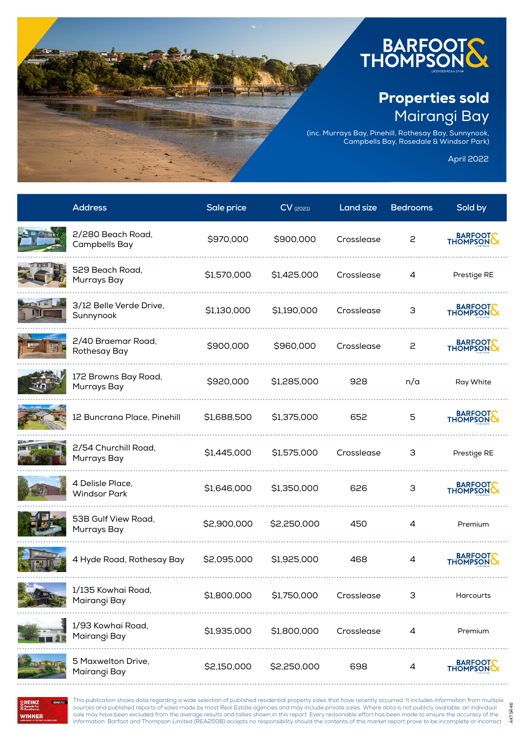

## Properties sold Mairangi Bay

(inc. Murrays Bay, Pinehill, Rothesay Bay, Sunnynook, Campbells Bay, Rosedale & Windsor Park)

April 2022

AKTSR46

AKTSR46

| <b>Address</b>                          | Sale price  | $CV$ (2021) | Land size  | <b>Bedrooms</b> | Sold by              |
|-----------------------------------------|-------------|-------------|------------|-----------------|----------------------|
| 2/280 Beach Road,<br>Campbells Bay      | \$970,000   | \$900,000   | Crosslease | 2               | BARFOOT              |
| 529 Beach Road,<br>Murrays Bay          | \$1,570,000 | \$1,425,000 | Crosslease | 4               | Prestige RE          |
| 3/12 Belle Verde Drive,<br>Sunnynook    | \$1,130,000 | \$1,190,000 | Crosslease | З               | BARFOOT              |
| 2/40 Braemar Road,<br>Rothesay Bay      | \$900,000   | \$960,000   | Crosslease | 2               | BARFOOT              |
| 172 Browns Bay Road,<br>Murrays Bay     | \$920,000   | \$1,285,000 | 928        | n/a             | Ray White            |
| 12 Buncrana Place, Pinehill             | \$1,688,500 | \$1,375,000 | 652        | 5               | BARFOOT              |
| 2/54 Churchill Road,<br>Murrays Bay     | \$1,445,000 | \$1,575,000 | Crosslease | З               | Prestige RE          |
| 4 Delisle Place,<br><b>Windsor Park</b> | \$1,646,000 | \$1,350,000 | 626        | З               | BARFOOT              |
| 53B Gulf View Road,<br>Murrays Bay      | \$2,900,000 | \$2,250,000 | 450        | 4               | Premium              |
| 4 Hyde Road, Rothesay Bay               | \$2,095,000 | \$1,925,000 | 468        | 4               | BARFOOT              |
| 1/135 Kowhai Road,<br>Mairangi Bay      | \$1,800,000 | \$1,750,000 | Crosslease | З               | Harcourts            |
| 1/93 Kowhai Road,<br>Mairangi Bay       | \$1,935,000 | \$1,800,000 | Crosslease | 4               | Premium              |
| 5 Maxwelton Drive,<br>Mairangi Bay      | \$2,150,000 | \$2,250,000 | 698        | 4               | BARFOOTS<br>THOMPSON |

**REINZ**<br>Awards for **WINNER**  This publication shows data regarding a wide selection of published residential property sales that have recently occurred. It includes information from multiple sources and published reports of sales made by most Real Estate agencies and may include private sales. Where data is not publicly available, an individual sale may have been excluded from the average results and tallies shown in this report. Every reasonable effort has been made to ensure the accuracy of the information. Barfoot and Thompson Limited (REA2008) accepts no responsibility should the contents of this market report prove to be incomplete or incorrect.